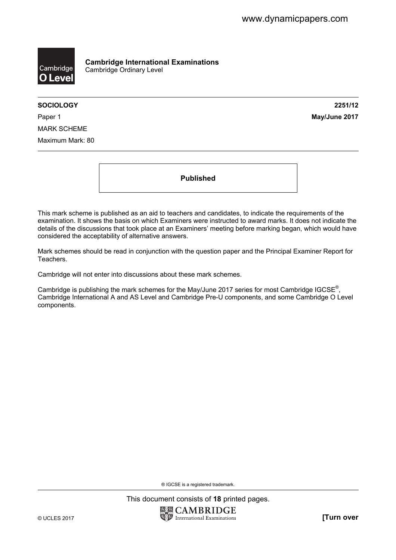

**Cambridge International Examinations**  Cambridge Ordinary Level

**SOCIOLOGY 2251/12** 

Paper 1 **May/June 2017** MARK SCHEME Maximum Mark: 80

**Published** 

This mark scheme is published as an aid to teachers and candidates, to indicate the requirements of the examination. It shows the basis on which Examiners were instructed to award marks. It does not indicate the details of the discussions that took place at an Examiners' meeting before marking began, which would have considered the acceptability of alternative answers.

Mark schemes should be read in conjunction with the question paper and the Principal Examiner Report for Teachers.

Cambridge will not enter into discussions about these mark schemes.

Cambridge is publishing the mark schemes for the May/June 2017 series for most Cambridge IGCSE<sup>®</sup>, Cambridge International A and AS Level and Cambridge Pre-U components, and some Cambridge O Level components.

® IGCSE is a registered trademark.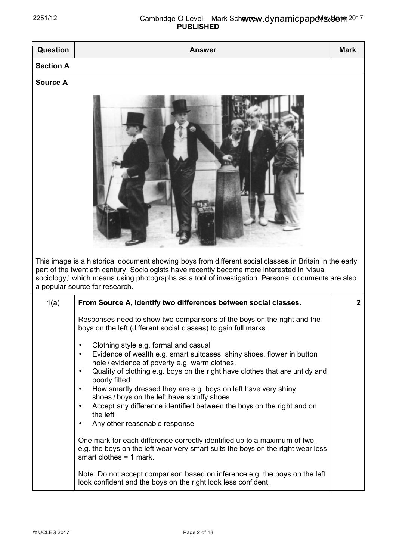| <b>PUBLISHED</b> |                                                                                                                                                                                                                                                                                                                                                                                                                                                                                                                                                                                                                                                                                                                                                                                                                                                                                                                                                                                                                                                                                                                                      |              |
|------------------|--------------------------------------------------------------------------------------------------------------------------------------------------------------------------------------------------------------------------------------------------------------------------------------------------------------------------------------------------------------------------------------------------------------------------------------------------------------------------------------------------------------------------------------------------------------------------------------------------------------------------------------------------------------------------------------------------------------------------------------------------------------------------------------------------------------------------------------------------------------------------------------------------------------------------------------------------------------------------------------------------------------------------------------------------------------------------------------------------------------------------------------|--------------|
| Question         | <b>Answer</b>                                                                                                                                                                                                                                                                                                                                                                                                                                                                                                                                                                                                                                                                                                                                                                                                                                                                                                                                                                                                                                                                                                                        | <b>Mark</b>  |
| <b>Section A</b> |                                                                                                                                                                                                                                                                                                                                                                                                                                                                                                                                                                                                                                                                                                                                                                                                                                                                                                                                                                                                                                                                                                                                      |              |
| <b>Source A</b>  | This image is a historical document showing boys from different social classes in Britain in the early<br>part of the twentieth century. Sociologists have recently become more interested in 'visual<br>sociology,' which means using photographs as a tool of investigation. Personal documents are also<br>a popular source for research.                                                                                                                                                                                                                                                                                                                                                                                                                                                                                                                                                                                                                                                                                                                                                                                         |              |
| 1(a)             | From Source A, identify two differences between social classes.<br>Responses need to show two comparisons of the boys on the right and the<br>boys on the left (different social classes) to gain full marks.<br>Clothing style e.g. formal and casual<br>$\bullet$<br>Evidence of wealth e.g. smart suitcases, shiny shoes, flower in button<br>$\bullet$<br>hole / evidence of poverty e.g. warm clothes,<br>Quality of clothing e.g. boys on the right have clothes that are untidy and<br>$\bullet$<br>poorly fitted<br>How smartly dressed they are e.g. boys on left have very shiny<br>$\bullet$<br>shoes/boys on the left have scruffy shoes<br>Accept any difference identified between the boys on the right and on<br>the left<br>Any other reasonable response<br>$\bullet$<br>One mark for each difference correctly identified up to a maximum of two,<br>e.g. the boys on the left wear very smart suits the boys on the right wear less<br>smart clothes $=$ 1 mark.<br>Note: Do not accept comparison based on inference e.g. the boys on the left<br>look confident and the boys on the right look less confident. | $\mathbf{2}$ |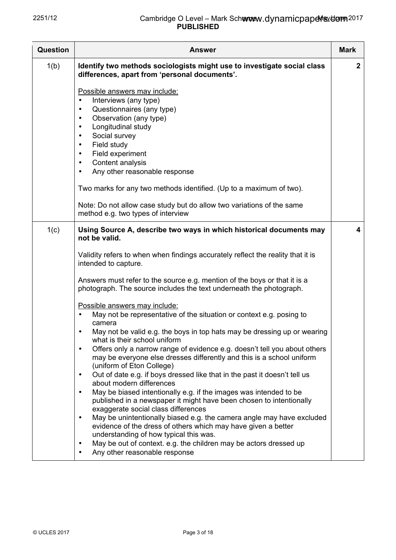| <b>Question</b> | <b>Answer</b>                                                                                                                                                                                                                                                                                                                                                                                                                                                                                                                                                                                                                                                                                                                                                                                                                                                                                                                                                                                                                                                                                                                                                                                                                                                                                                                                                       | <b>Mark</b>      |
|-----------------|---------------------------------------------------------------------------------------------------------------------------------------------------------------------------------------------------------------------------------------------------------------------------------------------------------------------------------------------------------------------------------------------------------------------------------------------------------------------------------------------------------------------------------------------------------------------------------------------------------------------------------------------------------------------------------------------------------------------------------------------------------------------------------------------------------------------------------------------------------------------------------------------------------------------------------------------------------------------------------------------------------------------------------------------------------------------------------------------------------------------------------------------------------------------------------------------------------------------------------------------------------------------------------------------------------------------------------------------------------------------|------------------|
| 1(b)            | Identify two methods sociologists might use to investigate social class<br>differences, apart from 'personal documents'.                                                                                                                                                                                                                                                                                                                                                                                                                                                                                                                                                                                                                                                                                                                                                                                                                                                                                                                                                                                                                                                                                                                                                                                                                                            | $\boldsymbol{2}$ |
|                 | Possible answers may include:<br>Interviews (any type)<br>٠<br>Questionnaires (any type)<br>٠<br>Observation (any type)<br>$\bullet$<br>Longitudinal study<br>٠<br>Social survey<br>٠<br>Field study<br>$\bullet$<br>Field experiment<br>$\bullet$<br>Content analysis<br>$\bullet$<br>Any other reasonable response<br>٠<br>Two marks for any two methods identified. (Up to a maximum of two).<br>Note: Do not allow case study but do allow two variations of the same<br>method e.g. two types of interview                                                                                                                                                                                                                                                                                                                                                                                                                                                                                                                                                                                                                                                                                                                                                                                                                                                     |                  |
| 1(c)            | Using Source A, describe two ways in which historical documents may<br>not be valid.                                                                                                                                                                                                                                                                                                                                                                                                                                                                                                                                                                                                                                                                                                                                                                                                                                                                                                                                                                                                                                                                                                                                                                                                                                                                                | 4                |
|                 | Validity refers to when when findings accurately reflect the reality that it is<br>intended to capture.<br>Answers must refer to the source e.g. mention of the boys or that it is a<br>photograph. The source includes the text underneath the photograph.<br>Possible answers may include:<br>May not be representative of the situation or context e.g. posing to<br>$\bullet$<br>camera<br>May not be valid e.g. the boys in top hats may be dressing up or wearing<br>٠<br>what is their school uniform<br>Offers only a narrow range of evidence e.g. doesn't tell you about others<br>$\bullet$<br>may be everyone else dresses differently and this is a school uniform<br>(uniform of Eton College)<br>Out of date e.g. if boys dressed like that in the past it doesn't tell us<br>$\bullet$<br>about modern differences<br>May be biased intentionally e.g. if the images was intended to be<br>$\bullet$<br>published in a newspaper it might have been chosen to intentionally<br>exaggerate social class differences<br>May be unintentionally biased e.g. the camera angle may have excluded<br>$\bullet$<br>evidence of the dress of others which may have given a better<br>understanding of how typical this was.<br>May be out of context. e.g. the children may be actors dressed up<br>$\bullet$<br>Any other reasonable response<br>$\bullet$ |                  |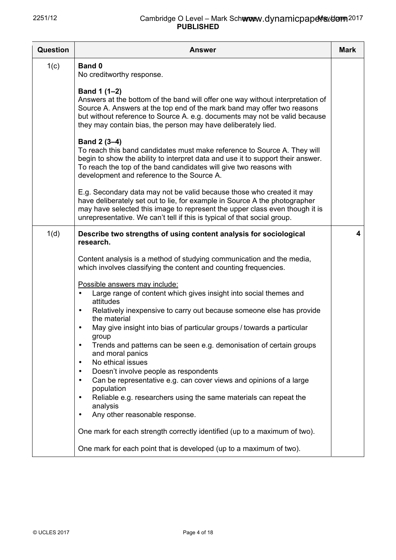| Question | <b>Answer</b>                                                                                                                                                                                                                                                                                                                                                                                                                                                                                                                                                                                                                                                                                                                                                      | <b>Mark</b> |
|----------|--------------------------------------------------------------------------------------------------------------------------------------------------------------------------------------------------------------------------------------------------------------------------------------------------------------------------------------------------------------------------------------------------------------------------------------------------------------------------------------------------------------------------------------------------------------------------------------------------------------------------------------------------------------------------------------------------------------------------------------------------------------------|-------------|
| 1(c)     | <b>Band 0</b><br>No creditworthy response.                                                                                                                                                                                                                                                                                                                                                                                                                                                                                                                                                                                                                                                                                                                         |             |
|          | Band 1 (1-2)<br>Answers at the bottom of the band will offer one way without interpretation of<br>Source A. Answers at the top end of the mark band may offer two reasons<br>but without reference to Source A. e.g. documents may not be valid because<br>they may contain bias, the person may have deliberately lied.                                                                                                                                                                                                                                                                                                                                                                                                                                           |             |
|          | Band 2 (3-4)<br>To reach this band candidates must make reference to Source A. They will<br>begin to show the ability to interpret data and use it to support their answer.<br>To reach the top of the band candidates will give two reasons with<br>development and reference to the Source A.                                                                                                                                                                                                                                                                                                                                                                                                                                                                    |             |
|          | E.g. Secondary data may not be valid because those who created it may<br>have deliberately set out to lie, for example in Source A the photographer<br>may have selected this image to represent the upper class even though it is<br>unrepresentative. We can't tell if this is typical of that social group.                                                                                                                                                                                                                                                                                                                                                                                                                                                     |             |
| 1(d)     | Describe two strengths of using content analysis for sociological<br>research.                                                                                                                                                                                                                                                                                                                                                                                                                                                                                                                                                                                                                                                                                     | 4           |
|          | Content analysis is a method of studying communication and the media,<br>which involves classifying the content and counting frequencies.                                                                                                                                                                                                                                                                                                                                                                                                                                                                                                                                                                                                                          |             |
|          | Possible answers may include:<br>Large range of content which gives insight into social themes and<br>$\bullet$<br>attitudes<br>Relatively inexpensive to carry out because someone else has provide<br>$\bullet$<br>the material<br>May give insight into bias of particular groups / towards a particular<br>group<br>Trends and patterns can be seen e.g. demonisation of certain groups<br>$\bullet$<br>and moral panics<br>No ethical issues<br>$\bullet$<br>Doesn't involve people as respondents<br>$\bullet$<br>Can be representative e.g. can cover views and opinions of a large<br>$\bullet$<br>population<br>Reliable e.g. researchers using the same materials can repeat the<br>$\bullet$<br>analysis<br>Any other reasonable response.<br>$\bullet$ |             |
|          | One mark for each strength correctly identified (up to a maximum of two).                                                                                                                                                                                                                                                                                                                                                                                                                                                                                                                                                                                                                                                                                          |             |
|          | One mark for each point that is developed (up to a maximum of two).                                                                                                                                                                                                                                                                                                                                                                                                                                                                                                                                                                                                                                                                                                |             |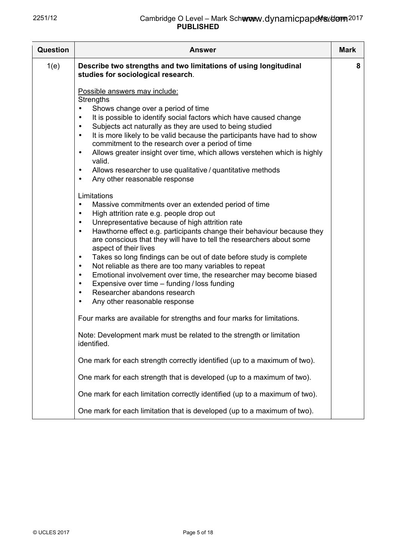| Question | <b>Answer</b>                                                                                                                                                                                                                                                                                                                                                                                                                                                                                                                                                                                                                                                                                                                                                                                        | <b>Mark</b> |
|----------|------------------------------------------------------------------------------------------------------------------------------------------------------------------------------------------------------------------------------------------------------------------------------------------------------------------------------------------------------------------------------------------------------------------------------------------------------------------------------------------------------------------------------------------------------------------------------------------------------------------------------------------------------------------------------------------------------------------------------------------------------------------------------------------------------|-------------|
| 1(e)     | Describe two strengths and two limitations of using longitudinal<br>studies for sociological research.                                                                                                                                                                                                                                                                                                                                                                                                                                                                                                                                                                                                                                                                                               | 8           |
|          | Possible answers may include:<br><b>Strengths</b><br>Shows change over a period of time<br>It is possible to identify social factors which have caused change<br>$\bullet$<br>Subjects act naturally as they are used to being studied<br>$\bullet$<br>It is more likely to be valid because the participants have had to show<br>$\bullet$<br>commitment to the research over a period of time<br>Allows greater insight over time, which allows verstehen which is highly<br>$\bullet$<br>valid.<br>Allows researcher to use qualitative / quantitative methods<br>$\bullet$<br>Any other reasonable response<br>$\bullet$                                                                                                                                                                         |             |
|          | Limitations<br>Massive commitments over an extended period of time<br>$\bullet$<br>High attrition rate e.g. people drop out<br>$\bullet$<br>Unrepresentative because of high attrition rate<br>$\bullet$<br>Hawthorne effect e.g. participants change their behaviour because they<br>$\bullet$<br>are conscious that they will have to tell the researchers about some<br>aspect of their lives<br>Takes so long findings can be out of date before study is complete<br>$\bullet$<br>Not reliable as there are too many variables to repeat<br>$\bullet$<br>Emotional involvement over time, the researcher may become biased<br>$\bullet$<br>Expensive over time - funding / loss funding<br>$\bullet$<br>Researcher abandons research<br>$\bullet$<br>Any other reasonable response<br>$\bullet$ |             |
|          | Four marks are available for strengths and four marks for limitations.<br>Note: Development mark must be related to the strength or limitation<br>identified.                                                                                                                                                                                                                                                                                                                                                                                                                                                                                                                                                                                                                                        |             |
|          | One mark for each strength correctly identified (up to a maximum of two).                                                                                                                                                                                                                                                                                                                                                                                                                                                                                                                                                                                                                                                                                                                            |             |
|          | One mark for each strength that is developed (up to a maximum of two).                                                                                                                                                                                                                                                                                                                                                                                                                                                                                                                                                                                                                                                                                                                               |             |
|          | One mark for each limitation correctly identified (up to a maximum of two).                                                                                                                                                                                                                                                                                                                                                                                                                                                                                                                                                                                                                                                                                                                          |             |
|          | One mark for each limitation that is developed (up to a maximum of two).                                                                                                                                                                                                                                                                                                                                                                                                                                                                                                                                                                                                                                                                                                                             |             |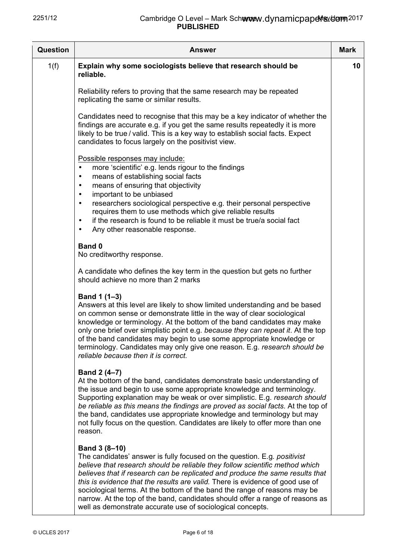| Question | <b>Answer</b>                                                                                                                                                                                                                                                                                                                                                                                                                                                                                                                                                                  | <b>Mark</b> |
|----------|--------------------------------------------------------------------------------------------------------------------------------------------------------------------------------------------------------------------------------------------------------------------------------------------------------------------------------------------------------------------------------------------------------------------------------------------------------------------------------------------------------------------------------------------------------------------------------|-------------|
| 1(f)     | Explain why some sociologists believe that research should be<br>reliable.                                                                                                                                                                                                                                                                                                                                                                                                                                                                                                     | 10          |
|          | Reliability refers to proving that the same research may be repeated<br>replicating the same or similar results.                                                                                                                                                                                                                                                                                                                                                                                                                                                               |             |
|          | Candidates need to recognise that this may be a key indicator of whether the<br>findings are accurate e.g. if you get the same results repeatedly it is more<br>likely to be true / valid. This is a key way to establish social facts. Expect<br>candidates to focus largely on the positivist view.                                                                                                                                                                                                                                                                          |             |
|          | Possible responses may include:<br>more 'scientific' e.g. lends rigour to the findings<br>$\bullet$<br>means of establishing social facts<br>٠<br>means of ensuring that objectivity<br>٠<br>important to be unbiased<br>٠<br>researchers sociological perspective e.g. their personal perspective<br>$\bullet$<br>requires them to use methods which give reliable results<br>if the research is found to be reliable it must be true/a social fact<br>$\bullet$<br>Any other reasonable response.<br>$\bullet$                                                               |             |
|          | <b>Band 0</b><br>No creditworthy response.                                                                                                                                                                                                                                                                                                                                                                                                                                                                                                                                     |             |
|          | A candidate who defines the key term in the question but gets no further<br>should achieve no more than 2 marks                                                                                                                                                                                                                                                                                                                                                                                                                                                                |             |
|          | Band 1 (1-3)<br>Answers at this level are likely to show limited understanding and be based<br>on common sense or demonstrate little in the way of clear sociological<br>knowledge or terminology. At the bottom of the band candidates may make<br>only one brief over simplistic point e.g. because they can repeat it. At the top<br>of the band candidates may begin to use some appropriate knowledge or<br>terminology. Candidates may only give one reason. E.g. research should be<br>reliable because then it is correct.                                             |             |
|          | Band 2 (4-7)<br>At the bottom of the band, candidates demonstrate basic understanding of<br>the issue and begin to use some appropriate knowledge and terminology.<br>Supporting explanation may be weak or over simplistic. E.g. research should<br>be reliable as this means the findings are proved as social facts. At the top of<br>the band, candidates use appropriate knowledge and terminology but may<br>not fully focus on the question. Candidates are likely to offer more than one<br>reason.                                                                    |             |
|          | Band 3 (8-10)<br>The candidates' answer is fully focused on the question. E.g. <i>positivist</i><br>believe that research should be reliable they follow scientific method which<br>believes that if research can be replicated and produce the same results that<br>this is evidence that the results are valid. There is evidence of good use of<br>sociological terms. At the bottom of the band the range of reasons may be<br>narrow. At the top of the band, candidates should offer a range of reasons as<br>well as demonstrate accurate use of sociological concepts. |             |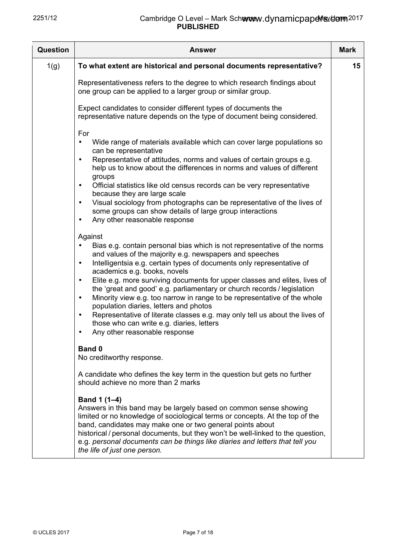| Question | <b>Answer</b>                                                                                                                                                                                                                                                                                                                                                                                                                                                                                                                                                                                                                                                                                                                                                                     | <b>Mark</b> |
|----------|-----------------------------------------------------------------------------------------------------------------------------------------------------------------------------------------------------------------------------------------------------------------------------------------------------------------------------------------------------------------------------------------------------------------------------------------------------------------------------------------------------------------------------------------------------------------------------------------------------------------------------------------------------------------------------------------------------------------------------------------------------------------------------------|-------------|
| 1(g)     | To what extent are historical and personal documents representative?                                                                                                                                                                                                                                                                                                                                                                                                                                                                                                                                                                                                                                                                                                              | 15          |
|          | Representativeness refers to the degree to which research findings about<br>one group can be applied to a larger group or similar group.                                                                                                                                                                                                                                                                                                                                                                                                                                                                                                                                                                                                                                          |             |
|          | Expect candidates to consider different types of documents the<br>representative nature depends on the type of document being considered.                                                                                                                                                                                                                                                                                                                                                                                                                                                                                                                                                                                                                                         |             |
|          | For<br>Wide range of materials available which can cover large populations so<br>$\bullet$<br>can be representative<br>Representative of attitudes, norms and values of certain groups e.g.<br>$\bullet$<br>help us to know about the differences in norms and values of different<br>groups<br>Official statistics like old census records can be very representative<br>$\bullet$<br>because they are large scale<br>Visual sociology from photographs can be representative of the lives of<br>$\bullet$<br>some groups can show details of large group interactions<br>Any other reasonable response<br>$\bullet$                                                                                                                                                             |             |
|          | Against<br>Bias e.g. contain personal bias which is not representative of the norms<br>$\bullet$<br>and values of the majority e.g. newspapers and speeches<br>Intelligentsia e.g. certain types of documents only representative of<br>$\bullet$<br>academics e.g. books, novels<br>Elite e.g. more surviving documents for upper classes and elites, lives of<br>$\bullet$<br>the 'great and good' e.g. parliamentary or church records / legislation<br>Minority view e.g. too narrow in range to be representative of the whole<br>$\bullet$<br>population diaries, letters and photos<br>Representative of literate classes e.g. may only tell us about the lives of<br>$\bullet$<br>those who can write e.g. diaries, letters<br>Any other reasonable response<br>$\bullet$ |             |
|          | <b>Band 0</b><br>No creditworthy response.                                                                                                                                                                                                                                                                                                                                                                                                                                                                                                                                                                                                                                                                                                                                        |             |
|          | A candidate who defines the key term in the question but gets no further<br>should achieve no more than 2 marks                                                                                                                                                                                                                                                                                                                                                                                                                                                                                                                                                                                                                                                                   |             |
|          | Band 1 (1-4)<br>Answers in this band may be largely based on common sense showing<br>limited or no knowledge of sociological terms or concepts. At the top of the<br>band, candidates may make one or two general points about<br>historical / personal documents, but they won't be well-linked to the question,<br>e.g. personal documents can be things like diaries and letters that tell you<br>the life of just one person.                                                                                                                                                                                                                                                                                                                                                 |             |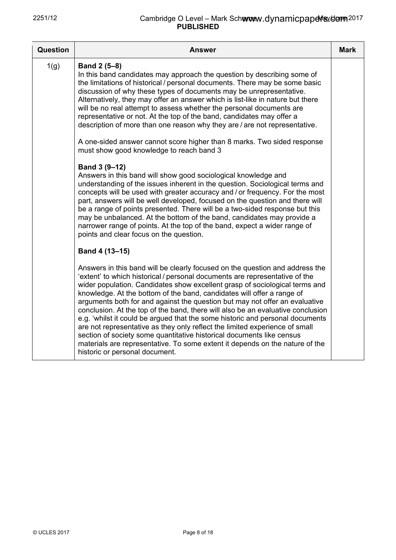| Question | Answer                                                                                                                                                                                                                                                                                                                                                                                                                                                                                                                                                                                                                                                                                                                                                                                                                                            | Mark |
|----------|---------------------------------------------------------------------------------------------------------------------------------------------------------------------------------------------------------------------------------------------------------------------------------------------------------------------------------------------------------------------------------------------------------------------------------------------------------------------------------------------------------------------------------------------------------------------------------------------------------------------------------------------------------------------------------------------------------------------------------------------------------------------------------------------------------------------------------------------------|------|
| 1(g)     | <b>Band 2 (5–8)</b><br>In this band candidates may approach the question by describing some of<br>the limitations of historical / personal documents. There may be some basic<br>discussion of why these types of documents may be unrepresentative.<br>Alternatively, they may offer an answer which is list-like in nature but there<br>will be no real attempt to assess whether the personal documents are<br>representative or not. At the top of the band, candidates may offer a<br>description of more than one reason why they are / are not representative.                                                                                                                                                                                                                                                                             |      |
|          | A one-sided answer cannot score higher than 8 marks. Two sided response<br>must show good knowledge to reach band 3                                                                                                                                                                                                                                                                                                                                                                                                                                                                                                                                                                                                                                                                                                                               |      |
|          | Band 3 (9-12)<br>Answers in this band will show good sociological knowledge and<br>understanding of the issues inherent in the question. Sociological terms and<br>concepts will be used with greater accuracy and / or frequency. For the most<br>part, answers will be well developed, focused on the question and there will<br>be a range of points presented. There will be a two-sided response but this<br>may be unbalanced. At the bottom of the band, candidates may provide a<br>narrower range of points. At the top of the band, expect a wider range of<br>points and clear focus on the question.                                                                                                                                                                                                                                  |      |
|          | Band 4 (13-15)                                                                                                                                                                                                                                                                                                                                                                                                                                                                                                                                                                                                                                                                                                                                                                                                                                    |      |
|          | Answers in this band will be clearly focused on the question and address the<br>'extent' to which historical / personal documents are representative of the<br>wider population. Candidates show excellent grasp of sociological terms and<br>knowledge. At the bottom of the band, candidates will offer a range of<br>arguments both for and against the question but may not offer an evaluative<br>conclusion. At the top of the band, there will also be an evaluative conclusion<br>e.g. 'whilst it could be argued that the some historic and personal documents<br>are not representative as they only reflect the limited experience of small<br>section of society some quantitative historical documents like census<br>materials are representative. To some extent it depends on the nature of the<br>historic or personal document. |      |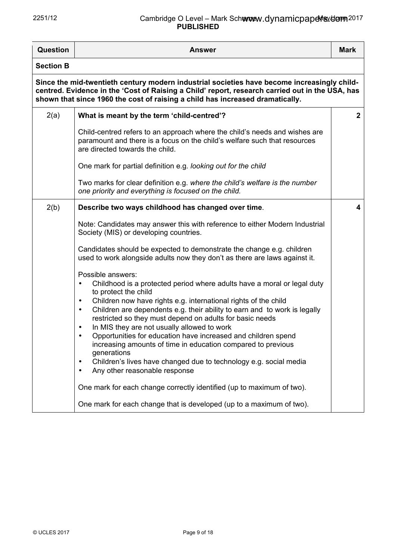## 2251/12 **Cambridge O Level – Mark Schemev PUBLISHED** www.dynamicpapełis./dom<sub>2017</sub>

| Question         | <b>Answer</b>                                                                                                                                                                                                                                                                                                                                                                                                                                                                                                                                                                                                                                                                                                                                                                   | <b>Mark</b>  |
|------------------|---------------------------------------------------------------------------------------------------------------------------------------------------------------------------------------------------------------------------------------------------------------------------------------------------------------------------------------------------------------------------------------------------------------------------------------------------------------------------------------------------------------------------------------------------------------------------------------------------------------------------------------------------------------------------------------------------------------------------------------------------------------------------------|--------------|
| <b>Section B</b> |                                                                                                                                                                                                                                                                                                                                                                                                                                                                                                                                                                                                                                                                                                                                                                                 |              |
|                  | Since the mid-twentieth century modern industrial societies have become increasingly child-<br>centred. Evidence in the 'Cost of Raising a Child' report, research carried out in the USA, has<br>shown that since 1960 the cost of raising a child has increased dramatically.                                                                                                                                                                                                                                                                                                                                                                                                                                                                                                 |              |
| 2(a)             | What is meant by the term 'child-centred'?                                                                                                                                                                                                                                                                                                                                                                                                                                                                                                                                                                                                                                                                                                                                      | $\mathbf{2}$ |
|                  | Child-centred refers to an approach where the child's needs and wishes are<br>paramount and there is a focus on the child's welfare such that resources<br>are directed towards the child.                                                                                                                                                                                                                                                                                                                                                                                                                                                                                                                                                                                      |              |
|                  | One mark for partial definition e.g. looking out for the child                                                                                                                                                                                                                                                                                                                                                                                                                                                                                                                                                                                                                                                                                                                  |              |
|                  | Two marks for clear definition e.g. where the child's welfare is the number<br>one priority and everything is focused on the child.                                                                                                                                                                                                                                                                                                                                                                                                                                                                                                                                                                                                                                             |              |
| 2(b)             | Describe two ways childhood has changed over time.                                                                                                                                                                                                                                                                                                                                                                                                                                                                                                                                                                                                                                                                                                                              | 4            |
|                  | Note: Candidates may answer this with reference to either Modern Industrial<br>Society (MIS) or developing countries.                                                                                                                                                                                                                                                                                                                                                                                                                                                                                                                                                                                                                                                           |              |
|                  | Candidates should be expected to demonstrate the change e.g. children<br>used to work alongside adults now they don't as there are laws against it.                                                                                                                                                                                                                                                                                                                                                                                                                                                                                                                                                                                                                             |              |
|                  | Possible answers:<br>Childhood is a protected period where adults have a moral or legal duty<br>to protect the child<br>Children now have rights e.g. international rights of the child<br>$\bullet$<br>Children are dependents e.g. their ability to earn and to work is legally<br>$\bullet$<br>restricted so they must depend on adults for basic needs<br>In MIS they are not usually allowed to work<br>$\bullet$<br>Opportunities for education have increased and children spend<br>increasing amounts of time in education compared to previous<br>generations<br>Children's lives have changed due to technology e.g. social media<br>$\bullet$<br>Any other reasonable response<br>$\bullet$<br>One mark for each change correctly identified (up to maximum of two). |              |
|                  | One mark for each change that is developed (up to a maximum of two).                                                                                                                                                                                                                                                                                                                                                                                                                                                                                                                                                                                                                                                                                                            |              |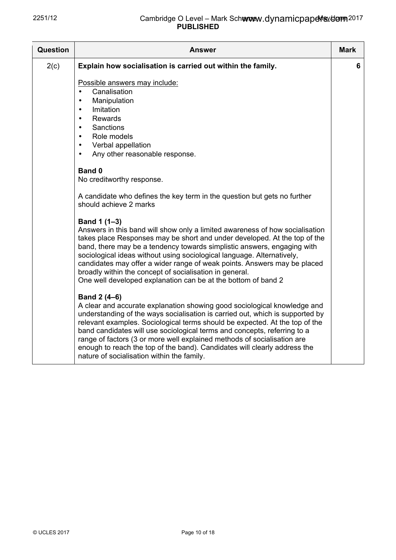| <b>Question</b> | Answer                                                                                                                                                                                                                                                                                                                                                                                                                                                                                                                                     | <b>Mark</b> |
|-----------------|--------------------------------------------------------------------------------------------------------------------------------------------------------------------------------------------------------------------------------------------------------------------------------------------------------------------------------------------------------------------------------------------------------------------------------------------------------------------------------------------------------------------------------------------|-------------|
| 2(c)            | Explain how socialisation is carried out within the family.                                                                                                                                                                                                                                                                                                                                                                                                                                                                                | 6.          |
|                 | Possible answers may include:<br>Canalisation<br>$\bullet$<br>Manipulation<br>$\bullet$<br>Imitation<br>$\bullet$<br>Rewards<br>$\bullet$<br>Sanctions<br>$\bullet$<br>Role models<br>$\bullet$<br>Verbal appellation<br>$\bullet$<br>Any other reasonable response.<br>$\bullet$                                                                                                                                                                                                                                                          |             |
|                 | Band 0<br>No creditworthy response.                                                                                                                                                                                                                                                                                                                                                                                                                                                                                                        |             |
|                 | A candidate who defines the key term in the question but gets no further<br>should achieve 2 marks                                                                                                                                                                                                                                                                                                                                                                                                                                         |             |
|                 | Band 1 (1-3)<br>Answers in this band will show only a limited awareness of how socialisation<br>takes place Responses may be short and under developed. At the top of the<br>band, there may be a tendency towards simplistic answers, engaging with<br>sociological ideas without using sociological language. Alternatively,<br>candidates may offer a wider range of weak points. Answers may be placed<br>broadly within the concept of socialisation in general.<br>One well developed explanation can be at the bottom of band 2     |             |
|                 | Band 2 (4-6)<br>A clear and accurate explanation showing good sociological knowledge and<br>understanding of the ways socialisation is carried out, which is supported by<br>relevant examples. Sociological terms should be expected. At the top of the<br>band candidates will use sociological terms and concepts, referring to a<br>range of factors (3 or more well explained methods of socialisation are<br>enough to reach the top of the band). Candidates will clearly address the<br>nature of socialisation within the family. |             |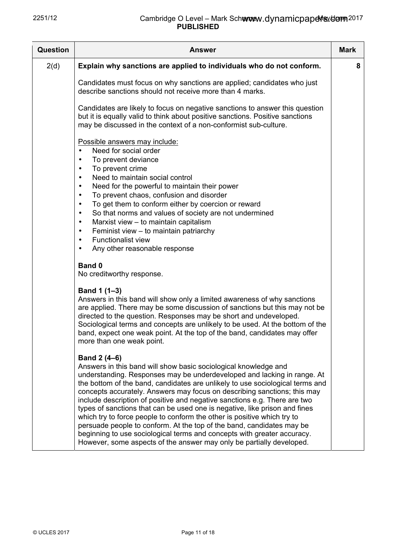| <b>Question</b> | <b>Answer</b>                                                                                                                                                                                                                                                                                                                                                                                                                                                                                                                                                                                                                                                                                                                                                                             | <b>Mark</b> |
|-----------------|-------------------------------------------------------------------------------------------------------------------------------------------------------------------------------------------------------------------------------------------------------------------------------------------------------------------------------------------------------------------------------------------------------------------------------------------------------------------------------------------------------------------------------------------------------------------------------------------------------------------------------------------------------------------------------------------------------------------------------------------------------------------------------------------|-------------|
| 2(d)            | Explain why sanctions are applied to individuals who do not conform.                                                                                                                                                                                                                                                                                                                                                                                                                                                                                                                                                                                                                                                                                                                      | 8           |
|                 | Candidates must focus on why sanctions are applied; candidates who just<br>describe sanctions should not receive more than 4 marks.                                                                                                                                                                                                                                                                                                                                                                                                                                                                                                                                                                                                                                                       |             |
|                 | Candidates are likely to focus on negative sanctions to answer this question<br>but it is equally valid to think about positive sanctions. Positive sanctions<br>may be discussed in the context of a non-conformist sub-culture.                                                                                                                                                                                                                                                                                                                                                                                                                                                                                                                                                         |             |
|                 | Possible answers may include:<br>Need for social order<br>$\bullet$<br>To prevent deviance<br>$\bullet$<br>To prevent crime<br>$\bullet$<br>Need to maintain social control<br>$\bullet$<br>Need for the powerful to maintain their power<br>$\bullet$<br>To prevent chaos, confusion and disorder<br>$\bullet$<br>To get them to conform either by coercion or reward<br>٠<br>So that norms and values of society are not undermined<br>$\bullet$<br>Marxist view - to maintain capitalism<br>$\bullet$<br>Feminist view - to maintain patriarchy<br>$\bullet$<br><b>Functionalist view</b><br>$\bullet$<br>Any other reasonable response<br>$\bullet$                                                                                                                                   |             |
|                 | <b>Band 0</b><br>No creditworthy response.                                                                                                                                                                                                                                                                                                                                                                                                                                                                                                                                                                                                                                                                                                                                                |             |
|                 | Band 1 (1-3)<br>Answers in this band will show only a limited awareness of why sanctions<br>are applied. There may be some discussion of sanctions but this may not be<br>directed to the question. Responses may be short and undeveloped.<br>Sociological terms and concepts are unlikely to be used. At the bottom of the<br>band, expect one weak point. At the top of the band, candidates may offer<br>more than one weak point.                                                                                                                                                                                                                                                                                                                                                    |             |
|                 | Band 2 (4–6)<br>Answers in this band will show basic sociological knowledge and<br>understanding. Responses may be underdeveloped and lacking in range. At<br>the bottom of the band, candidates are unlikely to use sociological terms and<br>concepts accurately. Answers may focus on describing sanctions; this may<br>include description of positive and negative sanctions e.g. There are two<br>types of sanctions that can be used one is negative, like prison and fines<br>which try to force people to conform the other is positive which try to<br>persuade people to conform. At the top of the band, candidates may be<br>beginning to use sociological terms and concepts with greater accuracy.<br>However, some aspects of the answer may only be partially developed. |             |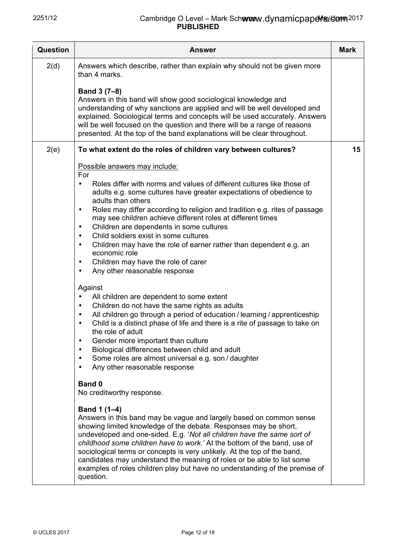| Question | <b>Answer</b>                                                                                                                                                                                                                                                                                                                                                                                                                                                                                                                                                                                                                                                                                                                                                                                                                                                                                                                                                                                                                                                                                                                                                                                                                                                                                                                                                                                                                                                                                                                                                                                                                                                                                                                                                                                                                                                                                                 | <b>Mark</b> |
|----------|---------------------------------------------------------------------------------------------------------------------------------------------------------------------------------------------------------------------------------------------------------------------------------------------------------------------------------------------------------------------------------------------------------------------------------------------------------------------------------------------------------------------------------------------------------------------------------------------------------------------------------------------------------------------------------------------------------------------------------------------------------------------------------------------------------------------------------------------------------------------------------------------------------------------------------------------------------------------------------------------------------------------------------------------------------------------------------------------------------------------------------------------------------------------------------------------------------------------------------------------------------------------------------------------------------------------------------------------------------------------------------------------------------------------------------------------------------------------------------------------------------------------------------------------------------------------------------------------------------------------------------------------------------------------------------------------------------------------------------------------------------------------------------------------------------------------------------------------------------------------------------------------------------------|-------------|
| 2(d)     | Answers which describe, rather than explain why should not be given more<br>than 4 marks.<br>Band 3 (7-8)<br>Answers in this band will show good sociological knowledge and<br>understanding of why sanctions are applied and will be well developed and<br>explained. Sociological terms and concepts will be used accurately. Answers<br>will be well focused on the question and there will be a range of reasons<br>presented. At the top of the band explanations will be clear throughout.                                                                                                                                                                                                                                                                                                                                                                                                                                                                                                                                                                                                                                                                                                                                                                                                                                                                                                                                                                                                                                                                                                                                                                                                                                                                                                                                                                                                              |             |
| 2(e)     | To what extent do the roles of children vary between cultures?<br>Possible answers may include:<br>For<br>Roles differ with norms and values of different cultures like those of<br>adults e.g. some cultures have greater expectations of obedience to<br>adults than others<br>Roles may differ according to religion and tradition e.g. rites of passage<br>$\bullet$<br>may see children achieve different roles at different times<br>Children are dependents in some cultures<br>$\bullet$<br>Child soldiers exist in some cultures<br>$\bullet$<br>Children may have the role of earner rather than dependent e.g. an<br>$\bullet$<br>economic role<br>Children may have the role of carer<br>$\bullet$<br>Any other reasonable response<br>$\bullet$<br>Against<br>All children are dependent to some extent<br>Children do not have the same rights as adults<br>$\bullet$<br>All children go through a period of education / learning / apprenticeship<br>$\bullet$<br>Child is a distinct phase of life and there is a rite of passage to take on<br>$\bullet$<br>the role of adult<br>Gender more important than culture<br>Biological differences between child and adult<br>Some roles are almost universal e.g. son / daughter<br>Any other reasonable response<br>$\bullet$<br><b>Band 0</b><br>No creditworthy response.<br>Band 1 (1-4)<br>Answers in this band may be vague and largely based on common sense<br>showing limited knowledge of the debate. Responses may be short,<br>undeveloped and one-sided. E.g. 'Not all children have the same sort of<br>childhood some children have to work.' At the bottom of the band, use of<br>sociological terms or concepts is very unlikely. At the top of the band,<br>candidates may understand the meaning of roles or be able to list some<br>examples of roles children play but have no understanding of the premise of<br>question. | 15          |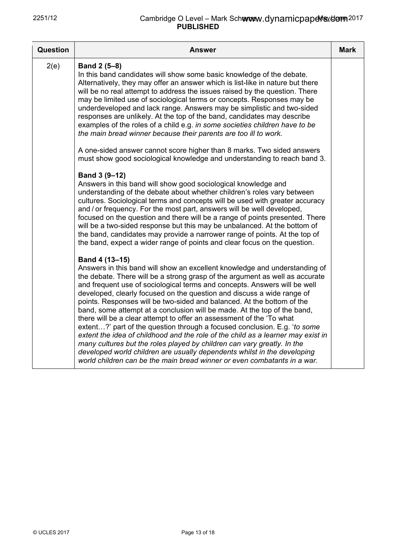| Question | Answer                                                                                                                                                                                                                                                                                                                                                                                                                                                                                                                                                                                                                                                                                                                                                                                                                                                                                                                                                                | Mark |
|----------|-----------------------------------------------------------------------------------------------------------------------------------------------------------------------------------------------------------------------------------------------------------------------------------------------------------------------------------------------------------------------------------------------------------------------------------------------------------------------------------------------------------------------------------------------------------------------------------------------------------------------------------------------------------------------------------------------------------------------------------------------------------------------------------------------------------------------------------------------------------------------------------------------------------------------------------------------------------------------|------|
| 2(e)     | Band 2 (5-8)<br>In this band candidates will show some basic knowledge of the debate.<br>Alternatively, they may offer an answer which is list-like in nature but there<br>will be no real attempt to address the issues raised by the question. There<br>may be limited use of sociological terms or concepts. Responses may be<br>underdeveloped and lack range. Answers may be simplistic and two-sided<br>responses are unlikely. At the top of the band, candidates may describe<br>examples of the roles of a child e.g. in some societies children have to be<br>the main bread winner because their parents are too ill to work.                                                                                                                                                                                                                                                                                                                              |      |
|          | A one-sided answer cannot score higher than 8 marks. Two sided answers<br>must show good sociological knowledge and understanding to reach band 3.                                                                                                                                                                                                                                                                                                                                                                                                                                                                                                                                                                                                                                                                                                                                                                                                                    |      |
|          | Band 3 (9-12)<br>Answers in this band will show good sociological knowledge and<br>understanding of the debate about whether children's roles vary between<br>cultures. Sociological terms and concepts will be used with greater accuracy<br>and / or frequency. For the most part, answers will be well developed,<br>focused on the question and there will be a range of points presented. There<br>will be a two-sided response but this may be unbalanced. At the bottom of<br>the band, candidates may provide a narrower range of points. At the top of<br>the band, expect a wider range of points and clear focus on the question.                                                                                                                                                                                                                                                                                                                          |      |
|          | Band 4 (13-15)<br>Answers in this band will show an excellent knowledge and understanding of<br>the debate. There will be a strong grasp of the argument as well as accurate<br>and frequent use of sociological terms and concepts. Answers will be well<br>developed, clearly focused on the question and discuss a wide range of<br>points. Responses will be two-sided and balanced. At the bottom of the<br>band, some attempt at a conclusion will be made. At the top of the band,<br>there will be a clear attempt to offer an assessment of the 'To what<br>extent?' part of the question through a focused conclusion. E.g. 'to some<br>extent the idea of childhood and the role of the child as a learner may exist in<br>many cultures but the roles played by children can vary greatly. In the<br>developed world children are usually dependents whilst in the developing<br>world children can be the main bread winner or even combatants in a war. |      |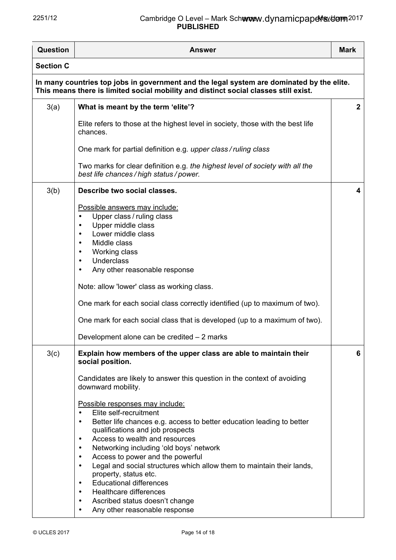## 2251/12 **Cambridge O Level – Mark Schemev PUBLISHED** www.dynamicpapełis./dom<sub>2017</sub>

| <b>Question</b>                                                                                                                                                                   | <b>Answer</b>                                                                                                                                                                                                                                                                                                                                                                                                                                                                                                                                                                                                                                                                           | <b>Mark</b>  |  |  |
|-----------------------------------------------------------------------------------------------------------------------------------------------------------------------------------|-----------------------------------------------------------------------------------------------------------------------------------------------------------------------------------------------------------------------------------------------------------------------------------------------------------------------------------------------------------------------------------------------------------------------------------------------------------------------------------------------------------------------------------------------------------------------------------------------------------------------------------------------------------------------------------------|--------------|--|--|
| <b>Section C</b>                                                                                                                                                                  |                                                                                                                                                                                                                                                                                                                                                                                                                                                                                                                                                                                                                                                                                         |              |  |  |
| In many countries top jobs in government and the legal system are dominated by the elite.<br>This means there is limited social mobility and distinct social classes still exist. |                                                                                                                                                                                                                                                                                                                                                                                                                                                                                                                                                                                                                                                                                         |              |  |  |
| 3(a)                                                                                                                                                                              | What is meant by the term 'elite'?                                                                                                                                                                                                                                                                                                                                                                                                                                                                                                                                                                                                                                                      | $\mathbf{2}$ |  |  |
|                                                                                                                                                                                   | Elite refers to those at the highest level in society, those with the best life<br>chances.                                                                                                                                                                                                                                                                                                                                                                                                                                                                                                                                                                                             |              |  |  |
|                                                                                                                                                                                   | One mark for partial definition e.g. upper class/ruling class                                                                                                                                                                                                                                                                                                                                                                                                                                                                                                                                                                                                                           |              |  |  |
|                                                                                                                                                                                   | Two marks for clear definition e.g. the highest level of society with all the<br>best life chances / high status / power.                                                                                                                                                                                                                                                                                                                                                                                                                                                                                                                                                               |              |  |  |
| 3(b)                                                                                                                                                                              | Describe two social classes.                                                                                                                                                                                                                                                                                                                                                                                                                                                                                                                                                                                                                                                            | 4            |  |  |
|                                                                                                                                                                                   | Possible answers may include:<br>Upper class / ruling class<br>$\bullet$<br>Upper middle class<br>Lower middle class<br>$\bullet$<br>Middle class<br>Working class<br>$\bullet$<br><b>Underclass</b><br>$\bullet$<br>Any other reasonable response<br>$\bullet$                                                                                                                                                                                                                                                                                                                                                                                                                         |              |  |  |
|                                                                                                                                                                                   | Note: allow 'lower' class as working class.                                                                                                                                                                                                                                                                                                                                                                                                                                                                                                                                                                                                                                             |              |  |  |
|                                                                                                                                                                                   | One mark for each social class correctly identified (up to maximum of two).                                                                                                                                                                                                                                                                                                                                                                                                                                                                                                                                                                                                             |              |  |  |
|                                                                                                                                                                                   | One mark for each social class that is developed (up to a maximum of two).                                                                                                                                                                                                                                                                                                                                                                                                                                                                                                                                                                                                              |              |  |  |
|                                                                                                                                                                                   | Development alone can be credited - 2 marks                                                                                                                                                                                                                                                                                                                                                                                                                                                                                                                                                                                                                                             |              |  |  |
| 3(c)                                                                                                                                                                              | Explain how members of the upper class are able to maintain their<br>social position.<br>Candidates are likely to answer this question in the context of avoiding                                                                                                                                                                                                                                                                                                                                                                                                                                                                                                                       | 6            |  |  |
|                                                                                                                                                                                   | downward mobility.<br>Possible responses may include:<br>Elite self-recruitment<br>$\bullet$<br>Better life chances e.g. access to better education leading to better<br>$\bullet$<br>qualifications and job prospects<br>Access to wealth and resources<br>$\bullet$<br>Networking including 'old boys' network<br>$\bullet$<br>Access to power and the powerful<br>$\bullet$<br>Legal and social structures which allow them to maintain their lands,<br>$\bullet$<br>property, status etc.<br><b>Educational differences</b><br>$\bullet$<br><b>Healthcare differences</b><br>$\bullet$<br>Ascribed status doesn't change<br>$\bullet$<br>Any other reasonable response<br>$\bullet$ |              |  |  |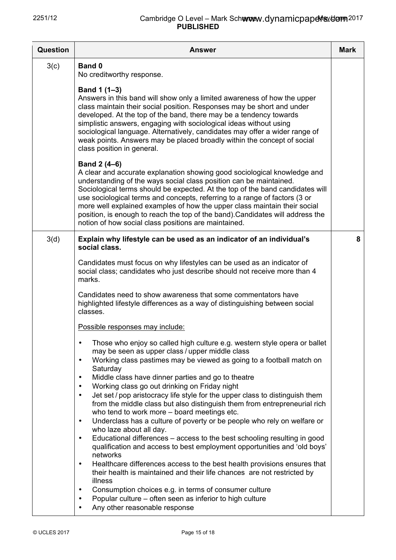| Question | <b>Answer</b>                                                                                                                                                                                                                                                                                                                                                                                                                                                                                                                                        | <b>Mark</b> |
|----------|------------------------------------------------------------------------------------------------------------------------------------------------------------------------------------------------------------------------------------------------------------------------------------------------------------------------------------------------------------------------------------------------------------------------------------------------------------------------------------------------------------------------------------------------------|-------------|
| 3(c)     | Band 0<br>No creditworthy response.                                                                                                                                                                                                                                                                                                                                                                                                                                                                                                                  |             |
|          | Band 1 (1-3)<br>Answers in this band will show only a limited awareness of how the upper<br>class maintain their social position. Responses may be short and under<br>developed. At the top of the band, there may be a tendency towards<br>simplistic answers, engaging with sociological ideas without using<br>sociological language. Alternatively, candidates may offer a wider range of<br>weak points. Answers may be placed broadly within the concept of social<br>class position in general.                                               |             |
|          | Band 2 (4-6)<br>A clear and accurate explanation showing good sociological knowledge and<br>understanding of the ways social class position can be maintained.<br>Sociological terms should be expected. At the top of the band candidates will<br>use sociological terms and concepts, referring to a range of factors (3 or<br>more well explained examples of how the upper class maintain their social<br>position, is enough to reach the top of the band). Candidates will address the<br>notion of how social class positions are maintained. |             |
| 3(d)     | Explain why lifestyle can be used as an indicator of an individual's<br>social class.                                                                                                                                                                                                                                                                                                                                                                                                                                                                | 8           |
|          | Candidates must focus on why lifestyles can be used as an indicator of<br>social class; candidates who just describe should not receive more than 4<br>marks.                                                                                                                                                                                                                                                                                                                                                                                        |             |
|          | Candidates need to show awareness that some commentators have<br>highlighted lifestyle differences as a way of distinguishing between social<br>classes.                                                                                                                                                                                                                                                                                                                                                                                             |             |
|          | Possible responses may include:                                                                                                                                                                                                                                                                                                                                                                                                                                                                                                                      |             |
|          | Those who enjoy so called high culture e.g. western style opera or ballet<br>$\bullet$<br>may be seen as upper class / upper middle class<br>Working class pastimes may be viewed as going to a football match on<br>$\bullet$<br>Saturday<br>Middle class have dinner parties and go to theatre<br>$\bullet$                                                                                                                                                                                                                                        |             |
|          | Working class go out drinking on Friday night<br>$\bullet$<br>Jet set / pop aristocracy life style for the upper class to distinguish them<br>$\bullet$<br>from the middle class but also distinguish them from entrepreneurial rich<br>who tend to work more – board meetings etc.<br>Underclass has a culture of poverty or be people who rely on welfare or<br>$\bullet$                                                                                                                                                                          |             |
|          | who laze about all day.<br>Educational differences - access to the best schooling resulting in good<br>$\bullet$<br>qualification and access to best employment opportunities and 'old boys'                                                                                                                                                                                                                                                                                                                                                         |             |
|          | networks<br>Healthcare differences access to the best health provisions ensures that<br>$\bullet$<br>their health is maintained and their life chances are not restricted by<br>illness                                                                                                                                                                                                                                                                                                                                                              |             |
|          | Consumption choices e.g. in terms of consumer culture<br>$\bullet$<br>Popular culture – often seen as inferior to high culture<br>$\bullet$<br>Any other reasonable response<br>$\bullet$                                                                                                                                                                                                                                                                                                                                                            |             |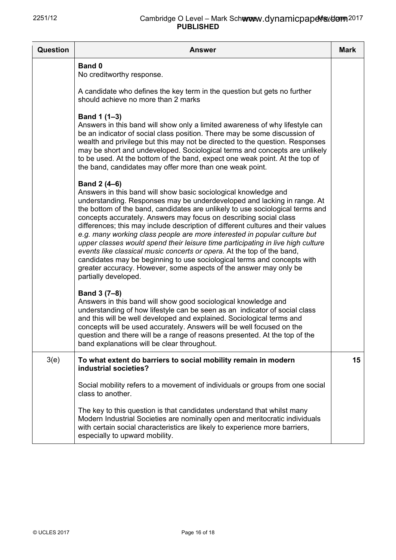| <b>Question</b> | <b>Answer</b>                                                                                                                                                                                                                                                                                                                                                                                                                                                                                                                                                                                                                                                                                                                                                                                                          | <b>Mark</b> |
|-----------------|------------------------------------------------------------------------------------------------------------------------------------------------------------------------------------------------------------------------------------------------------------------------------------------------------------------------------------------------------------------------------------------------------------------------------------------------------------------------------------------------------------------------------------------------------------------------------------------------------------------------------------------------------------------------------------------------------------------------------------------------------------------------------------------------------------------------|-------------|
|                 | <b>Band 0</b><br>No creditworthy response.                                                                                                                                                                                                                                                                                                                                                                                                                                                                                                                                                                                                                                                                                                                                                                             |             |
|                 | A candidate who defines the key term in the question but gets no further<br>should achieve no more than 2 marks                                                                                                                                                                                                                                                                                                                                                                                                                                                                                                                                                                                                                                                                                                        |             |
|                 | Band 1 (1-3)<br>Answers in this band will show only a limited awareness of why lifestyle can<br>be an indicator of social class position. There may be some discussion of<br>wealth and privilege but this may not be directed to the question. Responses<br>may be short and undeveloped. Sociological terms and concepts are unlikely<br>to be used. At the bottom of the band, expect one weak point. At the top of<br>the band, candidates may offer more than one weak point.                                                                                                                                                                                                                                                                                                                                     |             |
|                 | Band 2 (4-6)<br>Answers in this band will show basic sociological knowledge and<br>understanding. Responses may be underdeveloped and lacking in range. At<br>the bottom of the band, candidates are unlikely to use sociological terms and<br>concepts accurately. Answers may focus on describing social class<br>differences; this may include description of different cultures and their values<br>e.g. many working class people are more interested in popular culture but<br>upper classes would spend their leisure time participating in live high culture<br>events like classical music concerts or opera. At the top of the band,<br>candidates may be beginning to use sociological terms and concepts with<br>greater accuracy. However, some aspects of the answer may only be<br>partially developed. |             |
|                 | Band 3 (7-8)<br>Answers in this band will show good sociological knowledge and<br>understanding of how lifestyle can be seen as an indicator of social class<br>and this will be well developed and explained. Sociological terms and<br>concepts will be used accurately. Answers will be well focused on the<br>question and there will be a range of reasons presented. At the top of the<br>band explanations will be clear throughout.                                                                                                                                                                                                                                                                                                                                                                            |             |
| 3(e)            | To what extent do barriers to social mobility remain in modern<br>industrial societies?                                                                                                                                                                                                                                                                                                                                                                                                                                                                                                                                                                                                                                                                                                                                | 15          |
|                 | Social mobility refers to a movement of individuals or groups from one social<br>class to another.                                                                                                                                                                                                                                                                                                                                                                                                                                                                                                                                                                                                                                                                                                                     |             |
|                 | The key to this question is that candidates understand that whilst many<br>Modern Industrial Societies are nominally open and meritocratic individuals<br>with certain social characteristics are likely to experience more barriers,<br>especially to upward mobility.                                                                                                                                                                                                                                                                                                                                                                                                                                                                                                                                                |             |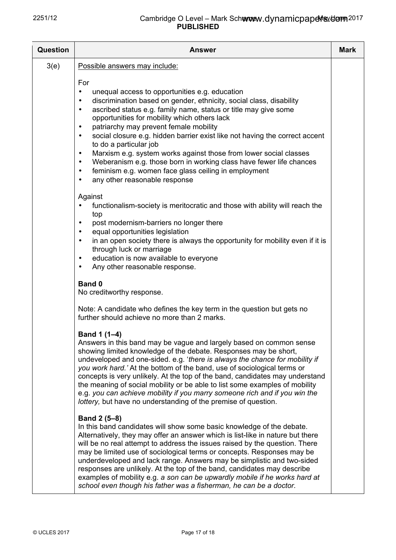| <b>Question</b> | <b>Answer</b>                                                                                                                                                                                                                                                                                                                                                                                                                                                                                                                                                                                                                                                                                                                                | <b>Mark</b> |
|-----------------|----------------------------------------------------------------------------------------------------------------------------------------------------------------------------------------------------------------------------------------------------------------------------------------------------------------------------------------------------------------------------------------------------------------------------------------------------------------------------------------------------------------------------------------------------------------------------------------------------------------------------------------------------------------------------------------------------------------------------------------------|-------------|
| 3(e)            | Possible answers may include:                                                                                                                                                                                                                                                                                                                                                                                                                                                                                                                                                                                                                                                                                                                |             |
|                 | For<br>unequal access to opportunities e.g. education<br>٠<br>discrimination based on gender, ethnicity, social class, disability<br>٠<br>ascribed status e.g. family name, status or title may give some<br>$\bullet$<br>opportunities for mobility which others lack<br>patriarchy may prevent female mobility<br>$\bullet$<br>social closure e.g. hidden barrier exist like not having the correct accent<br>$\bullet$<br>to do a particular job<br>Marxism e.g. system works against those from lower social classes<br>$\bullet$<br>Weberanism e.g. those born in working class have fewer life chances<br>$\bullet$<br>feminism e.g. women face glass ceiling in employment<br>$\bullet$<br>any other reasonable response<br>$\bullet$ |             |
|                 | Against<br>functionalism-society is meritocratic and those with ability will reach the<br>$\bullet$<br>top<br>post modernism-barriers no longer there<br>٠<br>equal opportunities legislation<br>٠<br>in an open society there is always the opportunity for mobility even if it is<br>٠<br>through luck or marriage<br>education is now available to everyone<br>$\bullet$<br>Any other reasonable response.<br>$\bullet$                                                                                                                                                                                                                                                                                                                   |             |
|                 | <b>Band 0</b><br>No creditworthy response.                                                                                                                                                                                                                                                                                                                                                                                                                                                                                                                                                                                                                                                                                                   |             |
|                 | Note: A candidate who defines the key term in the question but gets no<br>further should achieve no more than 2 marks.                                                                                                                                                                                                                                                                                                                                                                                                                                                                                                                                                                                                                       |             |
|                 | Band 1 (1–4)<br>Answers in this band may be vague and largely based on common sense<br>showing limited knowledge of the debate. Responses may be short,<br>undeveloped and one-sided. e.g. 'there is always the chance for mobility if<br>you work hard.' At the bottom of the band, use of sociological terms or<br>concepts is very unlikely. At the top of the band, candidates may understand<br>the meaning of social mobility or be able to list some examples of mobility<br>e.g. you can achieve mobility if you marry someone rich and if you win the<br>lottery, but have no understanding of the premise of question.                                                                                                             |             |
|                 | Band 2 (5-8)<br>In this band candidates will show some basic knowledge of the debate.<br>Alternatively, they may offer an answer which is list-like in nature but there<br>will be no real attempt to address the issues raised by the question. There<br>may be limited use of sociological terms or concepts. Responses may be<br>underdeveloped and lack range. Answers may be simplistic and two-sided<br>responses are unlikely. At the top of the band, candidates may describe<br>examples of mobility e.g. a son can be upwardly mobile if he works hard at<br>school even though his father was a fisherman, he can be a doctor.                                                                                                    |             |